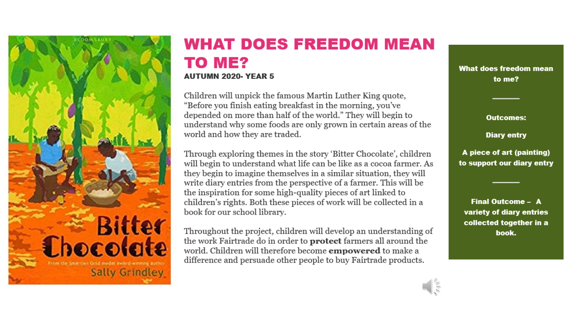

#### **WHAT DOES FREEDOM MEAN TO ME? AUTUMN 2020- YEAR 5**

Children will unpick the famous Martin Luther King quote, "Before you finish eating breakfast in the morning, you've depended on more than half of the world." They will begin to understand why some foods are only grown in certain areas of the world and how they are traded.

Through exploring themes in the story 'Bitter Chocolate', children will begin to understand what life can be like as a cocoa farmer. As they begin to imagine themselves in a similar situation, they will write diary entries from the perspective of a farmer. This will be the inspiration for some high-quality pieces of art linked to children's rights. Both these pieces of work will be collected in a book for our school library.

Throughout the project, children will develop an understanding of the work Fairtrade do in order to **protect** farmers all around the world. Children will therefore become **empowered** to make a difference and persuade other people to buy Fairtrade products.

What does freedom mean to me?

**Outcomes:** 

**Diary entry** 

A piece of art (painting) to support our diary entry

Final Outcome - A variety of diary entries collected together in a book.

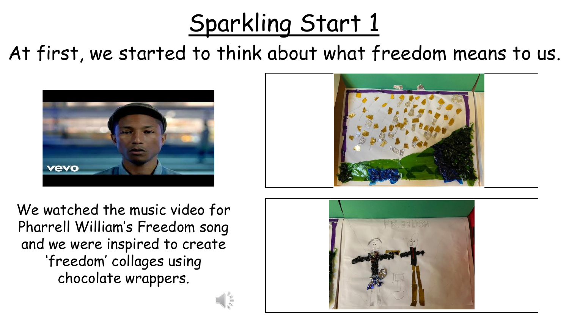# Sparkling Start 1

At first, we started to think about what freedom means to us.





We watched the music video for Pharrell William's Freedom song and we were inspired to create 'freedom' collages using chocolate wrappers.

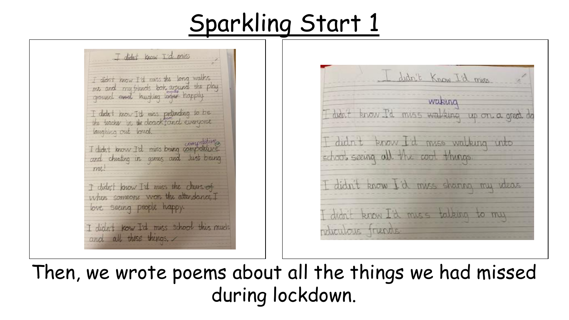### Sparkling Start 1

I didn't know I'd miss I didn't know I'd miss the long walks me and my friends bot around the play I didn't know I'd miss pretending to be laughing out loud. I didn't know I'd miss being competitive. and cheating in games and Just being me! I didn't know I'd miss the churs of when someone won the attendance, I love seeing people happy. I didn't kow I'd miss school this much and all these things.

dutrit Know I'd mess waking didn't know I'd miss walking up on a great de know I'd miss walking into  $d$ udnt school seeing all the cool things. didn't know I'd miss sharing my ideas didn't know I'd muss talking to my reluculous frunds

Then, we wrote poems about all the things we had missed during lockdown.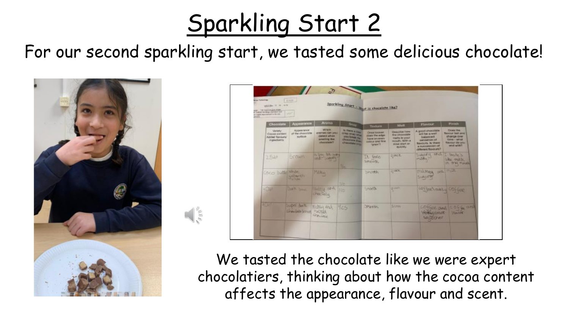# Sparkling Start 2

For our second sparkling start, we tasted some delicious chocolate!



| Sporkling Stort - hart is chocolote like?<br>are: That highways \$100 \$1000.<br>Collabor At Angle Kantasys and<br><b>Street</b><br>the Company Associations of the con- |                                               |                                                                                     |                                                                                                                 |                                                                                                                                        |                                                                                                                 |                                                                                                                                                                |                                                                                                                                     |
|--------------------------------------------------------------------------------------------------------------------------------------------------------------------------|-----------------------------------------------|-------------------------------------------------------------------------------------|-----------------------------------------------------------------------------------------------------------------|----------------------------------------------------------------------------------------------------------------------------------------|-----------------------------------------------------------------------------------------------------------------|----------------------------------------------------------------------------------------------------------------------------------------------------------------|-------------------------------------------------------------------------------------------------------------------------------------|
| <b>Choonish</b>                                                                                                                                                          | Адрентатов                                    | <b>Aroma</b>                                                                        | <b>AND TO</b>                                                                                                   | Tirakarin                                                                                                                              | <b>Name</b>                                                                                                     | Floyder                                                                                                                                                        | <b>Paulo</b>                                                                                                                        |
| <b>Workery</b><br>Cocoal content<br>Astrict Torround<br>ingwaterra.                                                                                                      | Acoustices<br>of the chooclater<br>martinosti | <b>Wildch</b><br>aren'new new year.<br>detect when<br>antifing the<br>photosiale T. | In them it they<br><b>THE MACHINE</b><br><b>STATISTICS</b><br><b>Christmass Free</b><br><b>The Collabo Inc.</b> | Cireca basedet<br>cities the edge.<br><b><i>AGUN ATLEMENT</i></b><br><b><i><i><u><b>AMALE AND WHEN</b></u></i></i></b><br><b>SHART</b> | Describe have<br>the choosester<br>reades in your<br><b>MICHAEL WIRTLA</b><br><b>BIOW STAY! IRE</b><br>quarter. | A good shocolate<br>will be a well<br><b>SHARKOOT</b><br>nerosations of<br><b>Bandwide, In Union</b><br><b>IN THE FEMALE REPORTER</b><br><b>GRANDE SERVICE</b> | <b>Clement Man</b><br><b>Namous limit area</b><br><b>Change Over</b><br>firm - white<br><b>Navear dis you</b><br><b>MARK WITH T</b> |
| 卫与战斗                                                                                                                                                                     | <b>DOWN</b>                                   | in your bill select<br>Allege - Ark<br>--                                           | ч.                                                                                                              | The Feeling<br>Smooth                                                                                                                  | 23845%                                                                                                          | aboth the<br><b>IPLOTAL</b>                                                                                                                                    | <b>United</b><br>lake trakle.<br><b>IS TVW Watch</b>                                                                                |
| <b>Coco butter White</b>                                                                                                                                                 | La Davisin<br><b>Part of Lights</b>           | MAN <sub>AA</sub><br>-                                                              | <b>TOW</b>                                                                                                      | <b>Singering</b>                                                                                                                       | <b>Green</b>                                                                                                    | TIALRAM<br>SUBJER                                                                                                                                              | <b>SITA TOBE</b>                                                                                                                    |
| $-041$                                                                                                                                                                   | JULIA Lange                                   | Imited appell<br><b>TIDE SEALU</b>                                                  | No                                                                                                              | <b>Albany</b>                                                                                                                          | <b>Green</b>                                                                                                    | coffee metal compre                                                                                                                                            |                                                                                                                                     |
| $J \rightarrow T$                                                                                                                                                        | <b>Juges Have</b><br>The Ges brown "with!     | Matter and<br>Frailage                                                              | <b>YUS</b>                                                                                                      | <b>Unantino</b>                                                                                                                        | Stani                                                                                                           | <b>CHAVE ONG.</b><br><b>PORAUGANT</b><br><b>Legislavor</b>                                                                                                     | $5066$ and<br><b><i>Plan 1995</i></b>                                                                                               |

We tasted the chocolate like we were expert chocolatiers, thinking about how the cocoa content affects the appearance, flavour and scent.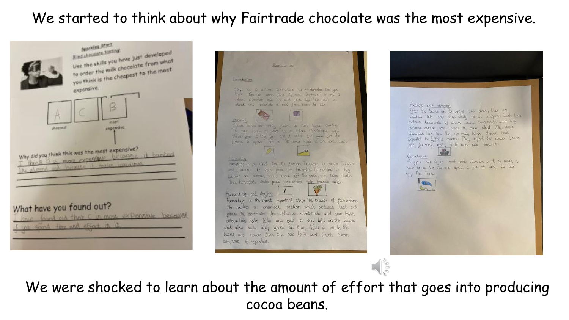### We started to think about why Fairtrade chocolate was the most expensive.





We were shocked to learn about the amount of effort that goes into producing cocoa beans.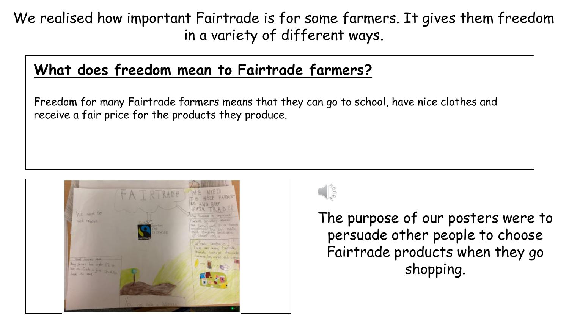We realised how important Fairtrade is for some farmers. It gives them freedom in a variety of different ways.

### **What does freedom mean to Fairtrade farmers?**

Freedom for many Fairtrade farmers means that they can go to school, have nice clothes and receive a fair price for the products they produce.





The purpose of our posters were to persuade other people to choose Fairtrade products when they go shopping.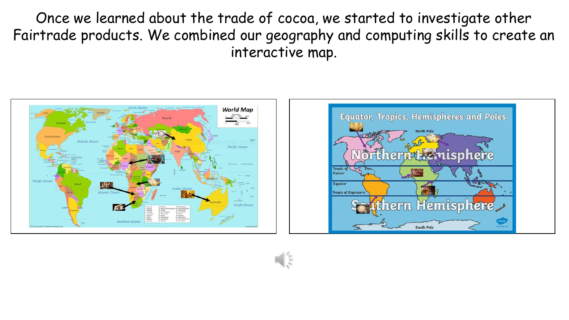Once we learned about the trade of cocoa, we started to investigate other Fairtrade products. We combined our geography and computing skills to create an interactive map.





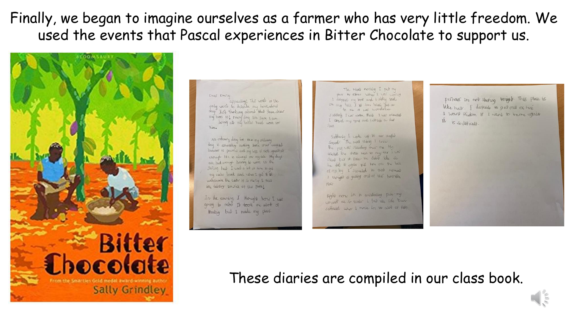Finally, we began to imagine ourselves as a farmer who has very little freedom. We used the events that Pascal experiences in Bitter Chocolate to support us.



#### Dear Dhary, appauling) This word is the

only word to describe my horrendous day. Just thinking about that Shave driver my boss is ! Every day I'm sure I am doing all my bosses hard work for

An ordinary day for me my ordinary day is exhausting Hotding those ones weighted bananas is pointed and my bogs is not greatful. enough He is always on my case My days are bad enough haring to work in the Stilling heat I walk a lot of time to get my water break and when I get W VE unbelievable the inster is so mercy I feel like fainting Im sick of this place,

In the evening I thought how I was going to rebel It took me alot of thinking but I made my plans.

The Next morning I put my plan in attent when I was working I dropped my book and bodly laid. on my back I up some break get on to me it was wonderfull. Suddenly I gar aware that I gar exhausted I doed my eyes and fell into a deep Sleep

Syddenly I woke up to an august Sound The Next thinky I knew the pig was standing one me He crated the chain Next to my ear I was Stent but in pain. He didn't like us he did it again this time on the back of my leg I squaded by that moment I thought a getting out of this porrible plose.

Right now I'm in excludiating pain my wound are so tender i feel use the been suffoated when I move in in alot of fun.

perhaps in not skering tonight. This place is When help. I depends to get out a tree I want fleetom if I want to be me again. It is so difficult.

#### These diaries are compiled in our class book.

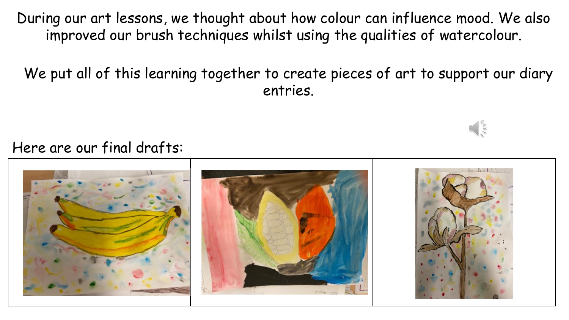During our art lessons, we thought about how colour can influence mood. We also improved our brush techniques whilst using the qualities of watercolour.

We put all of this learning together to create pieces of art to support our diary entries.

Here are our final drafts: